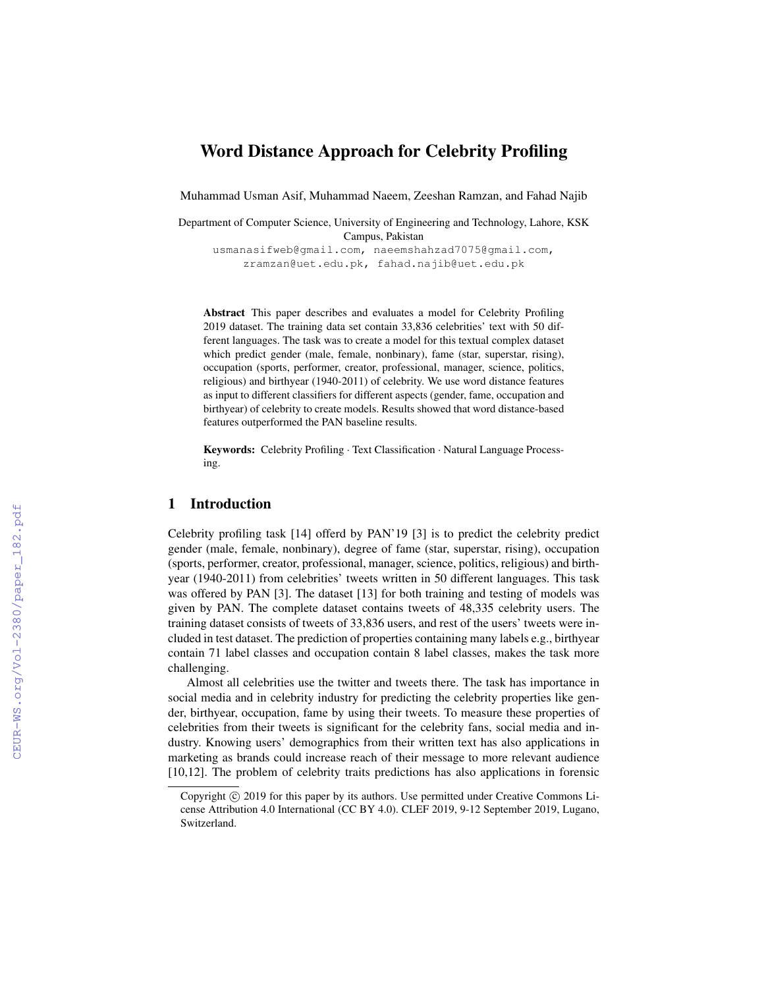# Word Distance Approach for Celebrity Profiling

Muhammad Usman Asif, Muhammad Naeem, Zeeshan Ramzan, and Fahad Najib

Department of Computer Science, University of Engineering and Technology, Lahore, KSK Campus, Pakistan

usmanasifweb@gmail.com, naeemshahzad7075@gmail.com, zramzan@uet.edu.pk, fahad.najib@uet.edu.pk

Abstract This paper describes and evaluates a model for Celebrity Profiling 2019 dataset. The training data set contain 33,836 celebrities' text with 50 different languages. The task was to create a model for this textual complex dataset which predict gender (male, female, nonbinary), fame (star, superstar, rising), occupation (sports, performer, creator, professional, manager, science, politics, religious) and birthyear (1940-2011) of celebrity. We use word distance features as input to different classifiers for different aspects (gender, fame, occupation and birthyear) of celebrity to create models. Results showed that word distance-based features outperformed the PAN baseline results.

Keywords: Celebrity Profiling · Text Classification · Natural Language Processing.

### 1 Introduction

Celebrity profiling task [14] offerd by PAN'19 [3] is to predict the celebrity predict gender (male, female, nonbinary), degree of fame (star, superstar, rising), occupation (sports, performer, creator, professional, manager, science, politics, religious) and birthyear (1940-2011) from celebrities' tweets written in 50 different languages. This task was offered by PAN [3]. The dataset [13] for both training and testing of models was given by PAN. The complete dataset contains tweets of 48,335 celebrity users. The training dataset consists of tweets of 33,836 users, and rest of the users' tweets were included in test dataset. The prediction of properties containing many labels e.g., birthyear contain 71 label classes and occupation contain 8 label classes, makes the task more challenging.

Almost all celebrities use the twitter and tweets there. The task has importance in social media and in celebrity industry for predicting the celebrity properties like gender, birthyear, occupation, fame by using their tweets. To measure these properties of celebrities from their tweets is significant for the celebrity fans, social media and industry. Knowing users' demographics from their written text has also applications in marketing as brands could increase reach of their message to more relevant audience [10,12]. The problem of celebrity traits predictions has also applications in forensic

Copyright  $\odot$  2019 for this paper by its authors. Use permitted under Creative Commons License Attribution 4.0 International (CC BY 4.0). CLEF 2019, 9-12 September 2019, Lugano, Switzerland.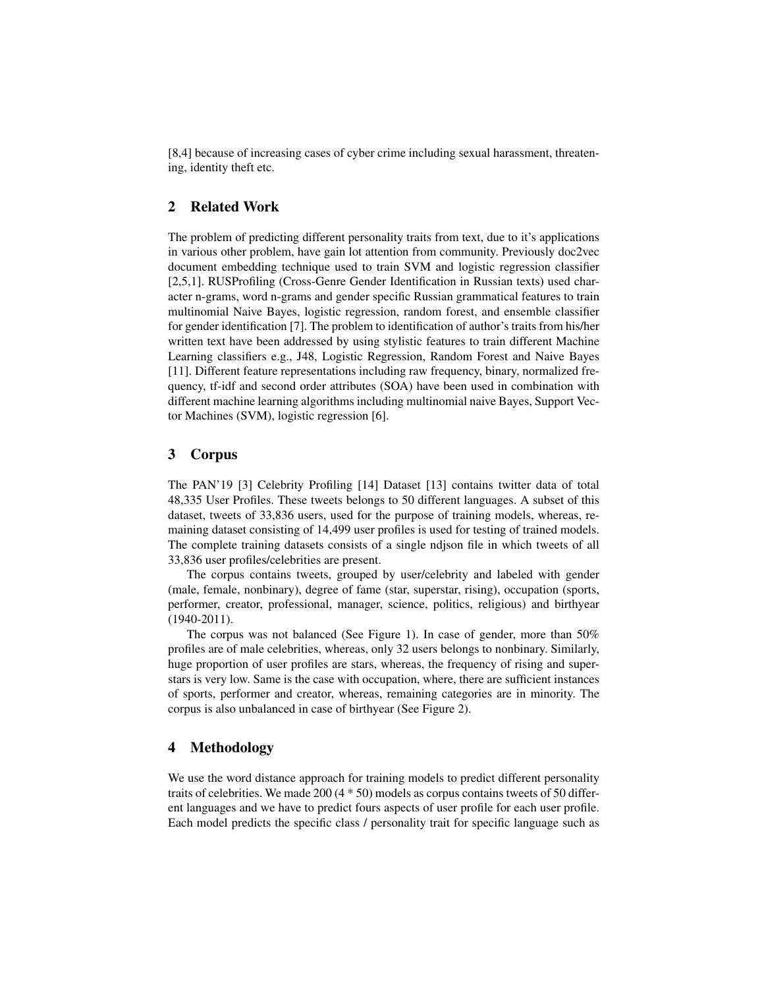[8,4] because of increasing cases of cyber crime including sexual harassment, threatening, identity theft etc.

# 2 Related Work

The problem of predicting different personality traits from text, due to it's applications in various other problem, have gain lot attention from community. Previously doc2vec document embedding technique used to train SVM and logistic regression classifier [2,5,1]. RUSProfiling (Cross-Genre Gender Identification in Russian texts) used character n-grams, word n-grams and gender specific Russian grammatical features to train multinomial Naive Bayes, logistic regression, random forest, and ensemble classifier for gender identification [7]. The problem to identification of author's traits from his/her written text have been addressed by using stylistic features to train different Machine Learning classifiers e.g., J48, Logistic Regression, Random Forest and Naive Bayes [11]. Different feature representations including raw frequency, binary, normalized frequency, tf-idf and second order attributes (SOA) have been used in combination with different machine learning algorithms including multinomial naive Bayes, Support Vector Machines (SVM), logistic regression [6].

### 3 Corpus

The PAN'19 [3] Celebrity Profiling [14] Dataset [13] contains twitter data of total 48,335 User Profiles. These tweets belongs to 50 different languages. A subset of this dataset, tweets of 33,836 users, used for the purpose of training models, whereas, remaining dataset consisting of 14,499 user profiles is used for testing of trained models. The complete training datasets consists of a single ndjson file in which tweets of all 33,836 user profiles/celebrities are present.

The corpus contains tweets, grouped by user/celebrity and labeled with gender (male, female, nonbinary), degree of fame (star, superstar, rising), occupation (sports, performer, creator, professional, manager, science, politics, religious) and birthyear (1940-2011).

The corpus was not balanced (See Figure 1). In case of gender, more than 50% profiles are of male celebrities, whereas, only 32 users belongs to nonbinary. Similarly, huge proportion of user profiles are stars, whereas, the frequency of rising and superstars is very low. Same is the case with occupation, where, there are sufficient instances of sports, performer and creator, whereas, remaining categories are in minority. The corpus is also unbalanced in case of birthyear (See Figure 2).

# 4 Methodology

We use the word distance approach for training models to predict different personality traits of celebrities. We made 200 (4 \* 50) models as corpus contains tweets of 50 different languages and we have to predict fours aspects of user profile for each user profile. Each model predicts the specific class / personality trait for specific language such as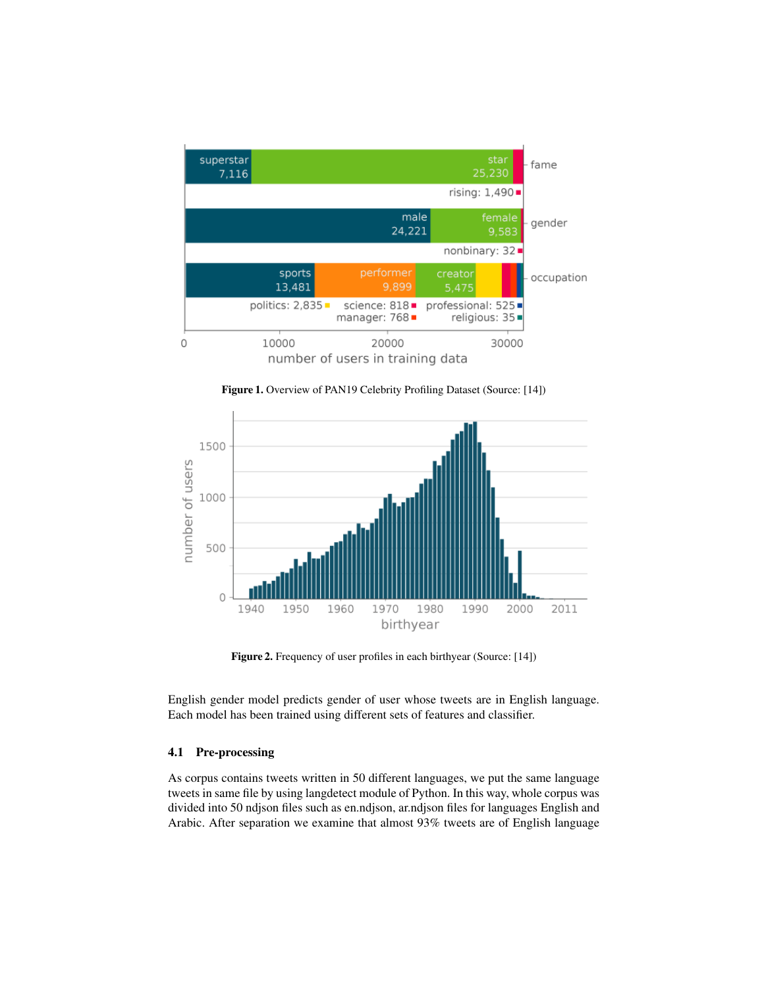





Figure 2. Frequency of user profiles in each birthyear (Source: [14])

English gender model predicts gender of user whose tweets are in English language. Each model has been trained using different sets of features and classifier.

#### 4.1 Pre-processing

As corpus contains tweets written in 50 different languages, we put the same language tweets in same file by using langdetect module of Python. In this way, whole corpus was divided into 50 ndjson files such as en.ndjson, ar.ndjson files for languages English and Arabic. After separation we examine that almost 93% tweets are of English language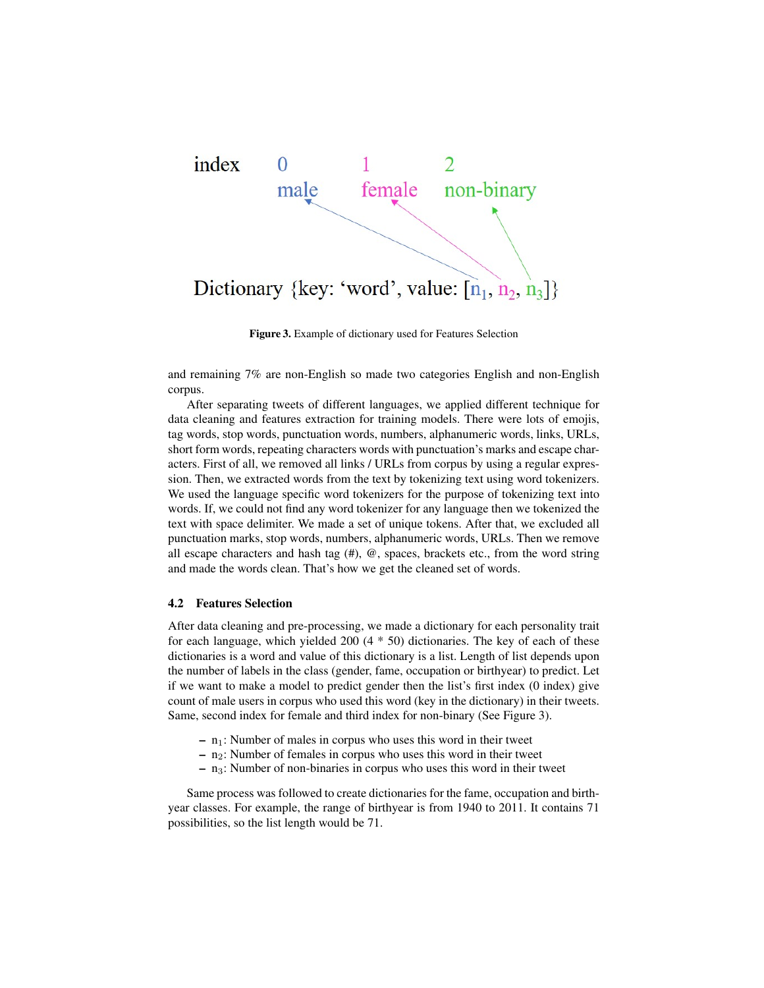

Figure 3. Example of dictionary used for Features Selection

and remaining 7% are non-English so made two categories English and non-English corpus.

After separating tweets of different languages, we applied different technique for data cleaning and features extraction for training models. There were lots of emojis, tag words, stop words, punctuation words, numbers, alphanumeric words, links, URLs, short form words, repeating characters words with punctuation's marks and escape characters. First of all, we removed all links / URLs from corpus by using a regular expression. Then, we extracted words from the text by tokenizing text using word tokenizers. We used the language specific word tokenizers for the purpose of tokenizing text into words. If, we could not find any word tokenizer for any language then we tokenized the text with space delimiter. We made a set of unique tokens. After that, we excluded all punctuation marks, stop words, numbers, alphanumeric words, URLs. Then we remove all escape characters and hash tag  $(\#)$ ,  $(\mathcal{Q})$ , spaces, brackets etc., from the word string and made the words clean. That's how we get the cleaned set of words.

#### 4.2 Features Selection

After data cleaning and pre-processing, we made a dictionary for each personality trait for each language, which yielded 200 (4 \* 50) dictionaries. The key of each of these dictionaries is a word and value of this dictionary is a list. Length of list depends upon the number of labels in the class (gender, fame, occupation or birthyear) to predict. Let if we want to make a model to predict gender then the list's first index (0 index) give count of male users in corpus who used this word (key in the dictionary) in their tweets. Same, second index for female and third index for non-binary (See Figure 3).

- $n_1$ : Number of males in corpus who uses this word in their tweet
- $-$  n<sub>2</sub>: Number of females in corpus who uses this word in their tweet
- $-$  n<sub>3</sub>: Number of non-binaries in corpus who uses this word in their tweet

Same process was followed to create dictionaries for the fame, occupation and birthyear classes. For example, the range of birthyear is from 1940 to 2011. It contains 71 possibilities, so the list length would be 71.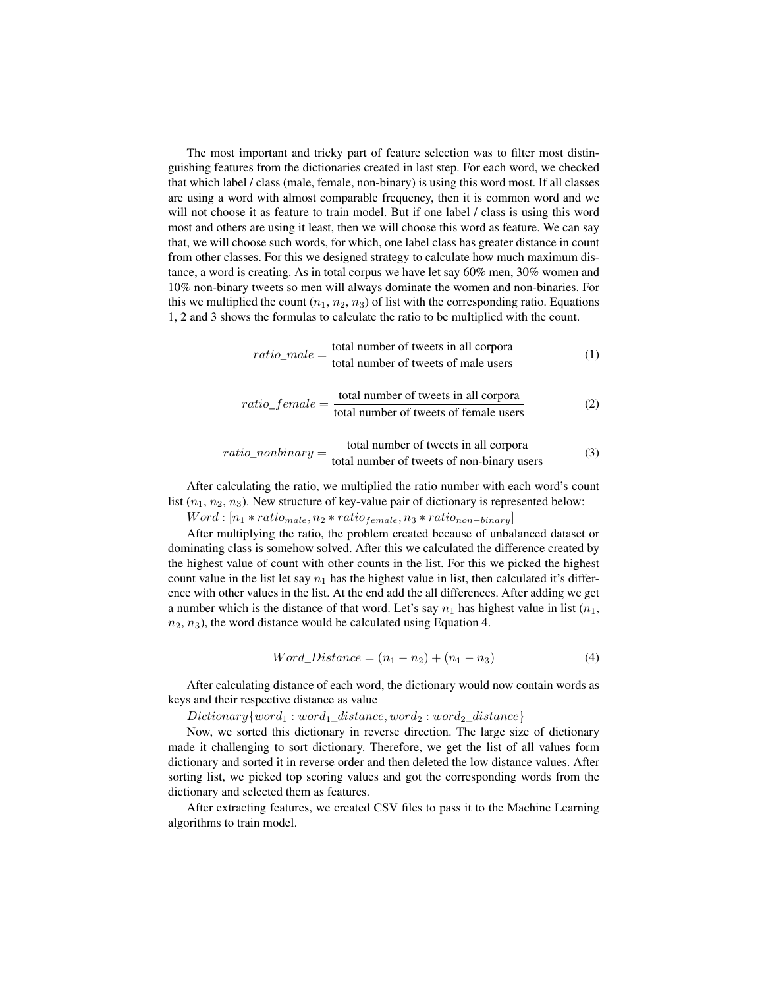The most important and tricky part of feature selection was to filter most distinguishing features from the dictionaries created in last step. For each word, we checked that which label / class (male, female, non-binary) is using this word most. If all classes are using a word with almost comparable frequency, then it is common word and we will not choose it as feature to train model. But if one label / class is using this word most and others are using it least, then we will choose this word as feature. We can say that, we will choose such words, for which, one label class has greater distance in count from other classes. For this we designed strategy to calculate how much maximum distance, a word is creating. As in total corpus we have let say 60% men, 30% women and 10% non-binary tweets so men will always dominate the women and non-binaries. For this we multiplied the count  $(n_1, n_2, n_3)$  of list with the corresponding ratio. Equations 1, 2 and 3 shows the formulas to calculate the ratio to be multiplied with the count.

$$
ratio\_male = \frac{\text{total number of tweets in all corpora}}{\text{total number of tweets of male users}} \tag{1}
$$

$$
ratio\_female = \frac{\text{total number of tweets in all corpora}}{\text{total number of tweets of female users}} \tag{2}
$$

$$
ratio\_nonbinary = \frac{\text{total number of tweets in all corpora}}{\text{total number of tweets of non-binary users}} \tag{3}
$$

After calculating the ratio, we multiplied the ratio number with each word's count list  $(n_1, n_2, n_3)$ . New structure of key-value pair of dictionary is represented below:

 $Word: [n_1 * ratio_{male}, n_2 * ratio_{female}, n_3 * ratio_{non-binary}]$ 

After multiplying the ratio, the problem created because of unbalanced dataset or dominating class is somehow solved. After this we calculated the difference created by the highest value of count with other counts in the list. For this we picked the highest count value in the list let say  $n_1$  has the highest value in list, then calculated it's difference with other values in the list. At the end add the all differences. After adding we get a number which is the distance of that word. Let's say  $n_1$  has highest value in list  $(n_1,$  $n_2$ ,  $n_3$ ), the word distance would be calculated using Equation 4.

$$
Word\_Distance = (n_1 - n_2) + (n_1 - n_3)
$$
\n(4)

After calculating distance of each word, the dictionary would now contain words as keys and their respective distance as value

 $Dictionary{word_1: word_1\_distance, word_2: word_2\_distance}$ 

Now, we sorted this dictionary in reverse direction. The large size of dictionary made it challenging to sort dictionary. Therefore, we get the list of all values form dictionary and sorted it in reverse order and then deleted the low distance values. After sorting list, we picked top scoring values and got the corresponding words from the dictionary and selected them as features.

After extracting features, we created CSV files to pass it to the Machine Learning algorithms to train model.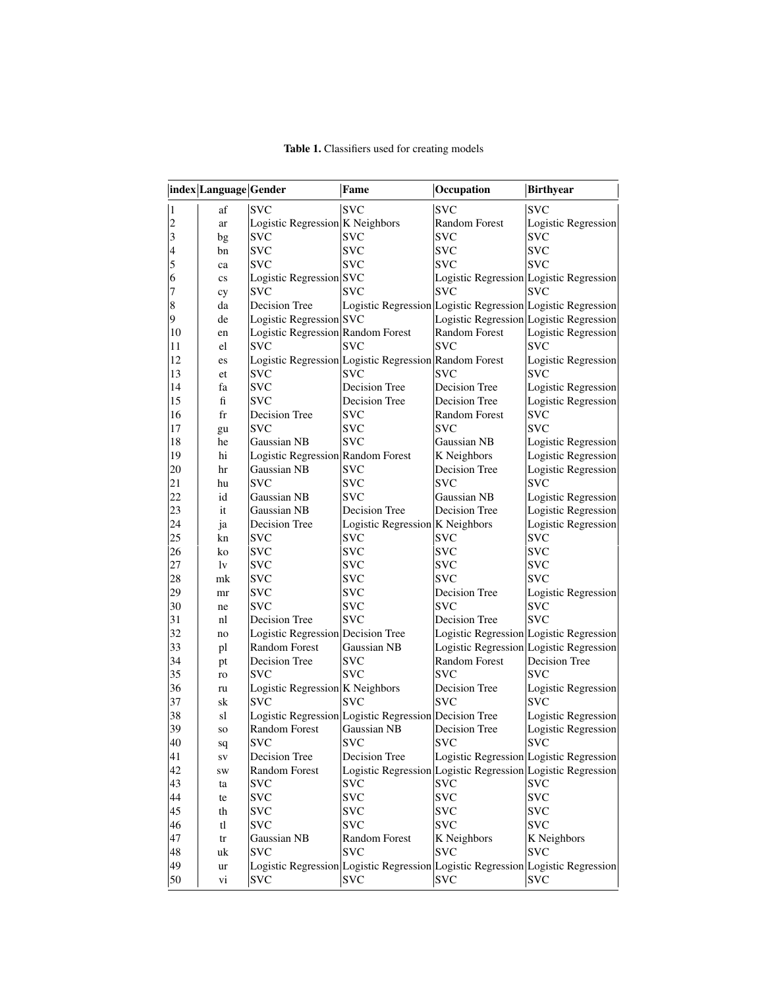|                | index Language Gender  |                                   | Fame                                                  | Occupation                                                  | <b>Birthyear</b>                                                                |
|----------------|------------------------|-----------------------------------|-------------------------------------------------------|-------------------------------------------------------------|---------------------------------------------------------------------------------|
| $\vert$ 1      | af                     | <b>SVC</b>                        | <b>SVC</b>                                            | <b>SVC</b>                                                  | <b>SVC</b>                                                                      |
| 2              | ar                     | Logistic Regression K Neighbors   |                                                       | Random Forest                                               | <b>Logistic Regression</b>                                                      |
| <sub>3</sub>   | bg                     | <b>SVC</b>                        | <b>SVC</b>                                            | <b>SVC</b>                                                  | <b>SVC</b>                                                                      |
|                | bn                     | <b>SVC</b>                        | <b>SVC</b>                                            | <b>SVC</b>                                                  | <b>SVC</b>                                                                      |
| $\frac{4}{5}$  | ca                     | <b>SVC</b>                        | <b>SVC</b>                                            | SVC                                                         | <b>SVC</b>                                                                      |
| 6              | $\mathbf{c}\mathbf{s}$ | Logistic Regression SVC           |                                                       | Logistic Regression Logistic Regression                     |                                                                                 |
| 7              | cy                     | <b>SVC</b>                        | <b>SVC</b>                                            | SVC                                                         | <b>SVC</b>                                                                      |
| $\vert 8$      | da                     | Decision Tree                     |                                                       | Logistic Regression Logistic Regression Logistic Regression |                                                                                 |
| $\overline{9}$ | de                     | Logistic Regression SVC           |                                                       |                                                             | Logistic Regression Logistic Regression                                         |
| 10             | en                     | Logistic Regression Random Forest |                                                       | <b>Random Forest</b>                                        | <b>Logistic Regression</b>                                                      |
| 11             | el                     | <b>SVC</b>                        | <b>SVC</b>                                            | <b>SVC</b>                                                  | <b>SVC</b>                                                                      |
| 12             | es                     |                                   | Logistic Regression Logistic Regression Random Forest |                                                             | <b>Logistic Regression</b>                                                      |
| 13             | et                     | <b>SVC</b>                        | <b>SVC</b>                                            | <b>SVC</b>                                                  | <b>SVC</b>                                                                      |
| 14             | fa                     | <b>SVC</b>                        | Decision Tree                                         | Decision Tree                                               | <b>Logistic Regression</b>                                                      |
| 15             | ${\rm fi}$             | <b>SVC</b>                        | Decision Tree                                         | Decision Tree                                               | <b>Logistic Regression</b>                                                      |
| 16             | fr                     | Decision Tree                     | <b>SVC</b>                                            | Random Forest                                               | <b>SVC</b>                                                                      |
| 17             | gu                     | <b>SVC</b>                        | <b>SVC</b>                                            | <b>SVC</b>                                                  | <b>SVC</b>                                                                      |
| 18             | he                     | Gaussian NB                       | <b>SVC</b>                                            | Gaussian NB                                                 | Logistic Regression                                                             |
| 19             | hi                     | Logistic Regression Random Forest |                                                       | K Neighbors                                                 | Logistic Regression                                                             |
| 20             | hr                     | Gaussian NB                       | <b>SVC</b>                                            | Decision Tree                                               | <b>Logistic Regression</b>                                                      |
| 21             | hu                     | <b>SVC</b>                        | <b>SVC</b>                                            | <b>SVC</b>                                                  | <b>SVC</b>                                                                      |
| 22             | id                     | Gaussian NB                       | <b>SVC</b>                                            | Gaussian NB                                                 | <b>Logistic Regression</b>                                                      |
| 23             | it                     | Gaussian NB                       | Decision Tree                                         | Decision Tree                                               | <b>Logistic Regression</b>                                                      |
| 24             | ja                     | Decision Tree                     | Logistic Regression K Neighbors                       |                                                             | Logistic Regression                                                             |
| 25             | kn                     | <b>SVC</b>                        | <b>SVC</b>                                            | <b>SVC</b>                                                  | <b>SVC</b>                                                                      |
| 26             | ko                     | <b>SVC</b>                        | <b>SVC</b>                                            | <b>SVC</b>                                                  | <b>SVC</b>                                                                      |
| 27             | lv                     | <b>SVC</b>                        | <b>SVC</b>                                            | <b>SVC</b>                                                  | <b>SVC</b>                                                                      |
| 28             | mk                     | <b>SVC</b>                        | <b>SVC</b>                                            | <b>SVC</b>                                                  | <b>SVC</b>                                                                      |
| 29             | mr                     | <b>SVC</b>                        | <b>SVC</b>                                            | Decision Tree                                               | Logistic Regression                                                             |
| 30             | ne                     | <b>SVC</b>                        | <b>SVC</b>                                            | <b>SVC</b>                                                  | svc                                                                             |
| 31             | nl                     | Decision Tree                     | <b>SVC</b>                                            | Decision Tree                                               | <b>SVC</b>                                                                      |
| 32             | no                     | Logistic Regression Decision Tree |                                                       |                                                             | Logistic Regression Logistic Regression                                         |
| 33             | pl                     | Random Forest                     | Gaussian NB                                           |                                                             | Logistic Regression Logistic Regression                                         |
| 34             | pt                     | Decision Tree                     | <b>SVC</b>                                            | <b>Random Forest</b>                                        | Decision Tree                                                                   |
| 35             | ro                     | <b>SVC</b>                        | <b>SVC</b>                                            | <b>SVC</b>                                                  | <b>SVC</b>                                                                      |
| 36             | ru                     | Logistic Regression K Neighbors   |                                                       | Decision Tree                                               | Logistic Regression                                                             |
| 37             | sk                     | <b>SVC</b>                        | <b>SVC</b>                                            | <b>SVC</b>                                                  | <b>SVC</b>                                                                      |
| 38             | sl                     |                                   | Logistic Regression Logistic Regression Decision Tree |                                                             | Logistic Regression                                                             |
| 39             | so                     | <b>Random Forest</b>              | Gaussian NB                                           | Decision Tree                                               | <b>Logistic Regression</b>                                                      |
| 40             | sq                     | <b>SVC</b>                        | <b>SVC</b>                                            | <b>SVC</b>                                                  | <b>SVC</b>                                                                      |
| 41             | ${\bf SV}$             | Decision Tree                     | Decision Tree                                         |                                                             | Logistic Regression Logistic Regression                                         |
| 42             | <b>SW</b>              | Random Forest                     |                                                       |                                                             | Logistic Regression Logistic Regression Logistic Regression                     |
| 43             | ta                     | <b>SVC</b>                        | <b>SVC</b>                                            | <b>SVC</b>                                                  | <b>SVC</b>                                                                      |
| 44             | te                     | <b>SVC</b>                        | <b>SVC</b>                                            | <b>SVC</b>                                                  | <b>SVC</b>                                                                      |
| 45             | th                     | <b>SVC</b>                        | <b>SVC</b>                                            | <b>SVC</b>                                                  | <b>SVC</b>                                                                      |
| 46             | tl                     | <b>SVC</b>                        | <b>SVC</b>                                            | <b>SVC</b>                                                  | <b>SVC</b>                                                                      |
| 47             | tr                     | Gaussian NB                       | Random Forest                                         | K Neighbors                                                 | K Neighbors                                                                     |
| 48             | uk                     | <b>SVC</b>                        | <b>SVC</b>                                            | <b>SVC</b>                                                  | <b>SVC</b>                                                                      |
| 49             | ur                     |                                   |                                                       |                                                             | Logistic Regression Logistic Regression Logistic Regression Logistic Regression |
| 50             | vi                     | <b>SVC</b>                        | <b>SVC</b>                                            | <b>SVC</b>                                                  | <b>SVC</b>                                                                      |

Table 1. Classifiers used for creating models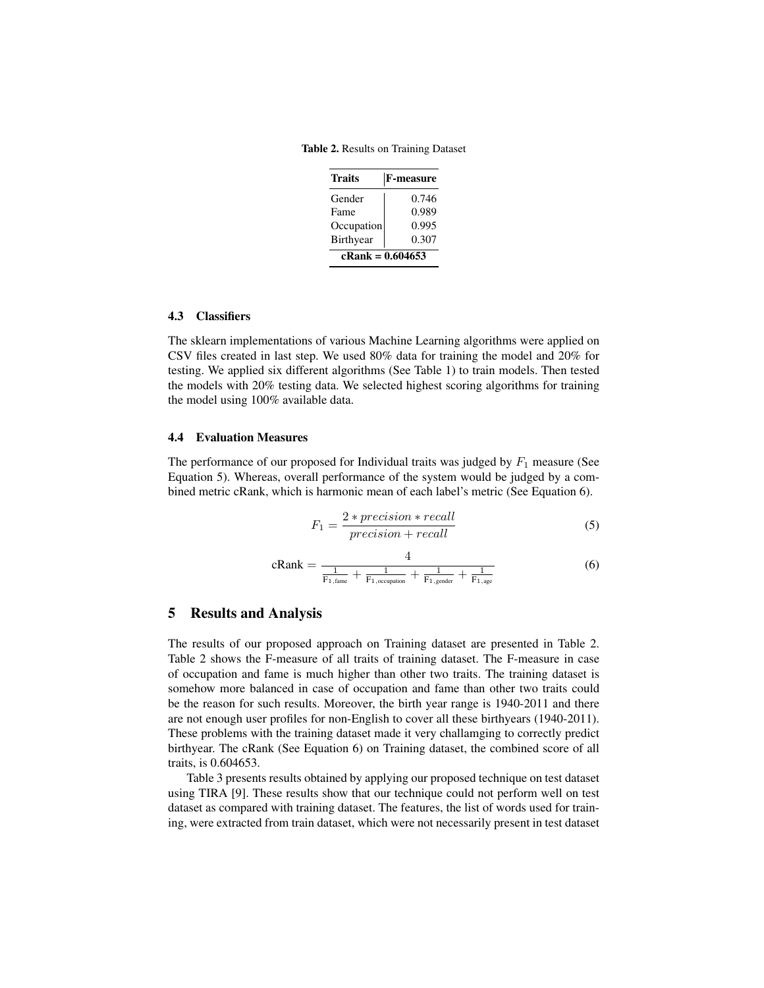Table 2. Results on Training Dataset

| <b>Traits</b>      | <b>F-measure</b> |  |  |  |
|--------------------|------------------|--|--|--|
| Gender             | 0.746            |  |  |  |
| Fame               | 0.989            |  |  |  |
| Occupation         | 0.995            |  |  |  |
| Birthyear          | 0.307            |  |  |  |
| $cRank = 0.604653$ |                  |  |  |  |

#### 4.3 Classifiers

The sklearn implementations of various Machine Learning algorithms were applied on CSV files created in last step. We used 80% data for training the model and 20% for testing. We applied six different algorithms (See Table 1) to train models. Then tested the models with 20% testing data. We selected highest scoring algorithms for training the model using 100% available data.

#### 4.4 Evaluation Measures

The performance of our proposed for Individual traits was judged by  $F_1$  measure (See Equation 5). Whereas, overall performance of the system would be judged by a combined metric cRank, which is harmonic mean of each label's metric (See Equation 6).

$$
F_1 = \frac{2 * precision * recall}{precision + recall}
$$
 (5)

$$
cRank = \frac{4}{\frac{1}{F_{1,frame} + \frac{1}{F_{1,occupied}} + \frac{1}{F_{1,gender}} + \frac{1}{F_{1,age}}}}
$$
(6)

### 5 Results and Analysis

The results of our proposed approach on Training dataset are presented in Table 2. Table 2 shows the F-measure of all traits of training dataset. The F-measure in case of occupation and fame is much higher than other two traits. The training dataset is somehow more balanced in case of occupation and fame than other two traits could be the reason for such results. Moreover, the birth year range is 1940-2011 and there are not enough user profiles for non-English to cover all these birthyears (1940-2011). These problems with the training dataset made it very challamging to correctly predict birthyear. The cRank (See Equation 6) on Training dataset, the combined score of all traits, is 0.604653.

Table 3 presents results obtained by applying our proposed technique on test dataset using TIRA [9]. These results show that our technique could not perform well on test dataset as compared with training dataset. The features, the list of words used for training, were extracted from train dataset, which were not necessarily present in test dataset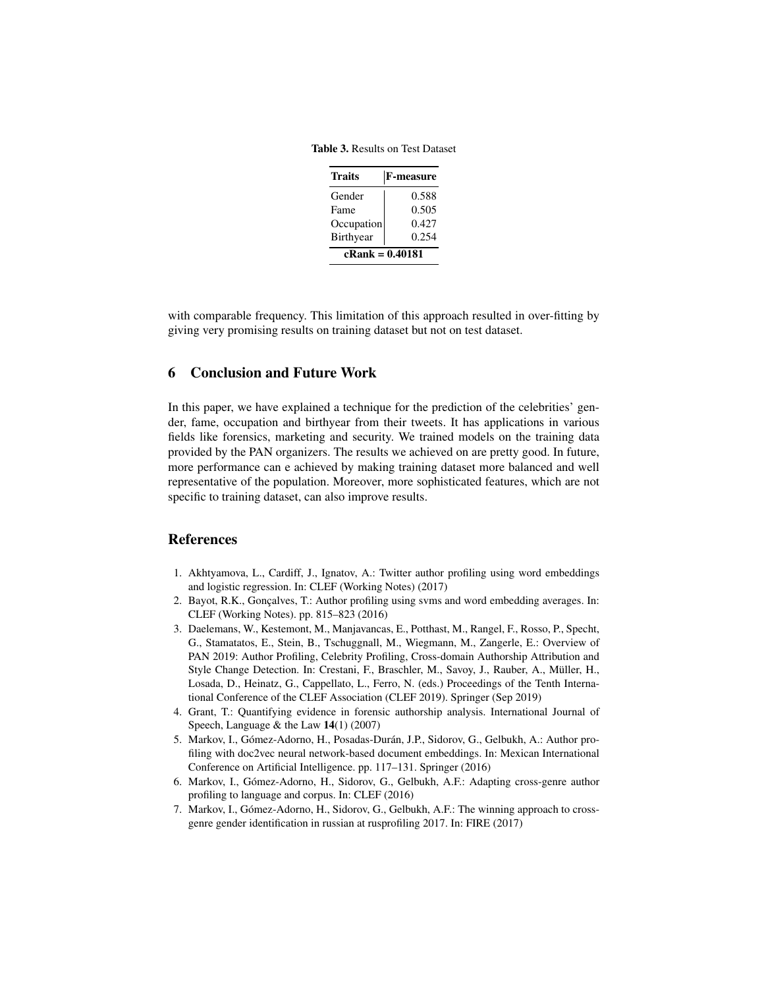Table 3. Results on Test Dataset

| <b>Traits</b>     | <b>F-measure</b> |  |  |  |
|-------------------|------------------|--|--|--|
| Gender            | 0.588            |  |  |  |
| Fame              | 0.505            |  |  |  |
| Occupation        | 0.427            |  |  |  |
| Birthyear         | 0.254            |  |  |  |
| $cRank = 0.40181$ |                  |  |  |  |

with comparable frequency. This limitation of this approach resulted in over-fitting by giving very promising results on training dataset but not on test dataset.

# 6 Conclusion and Future Work

In this paper, we have explained a technique for the prediction of the celebrities' gender, fame, occupation and birthyear from their tweets. It has applications in various fields like forensics, marketing and security. We trained models on the training data provided by the PAN organizers. The results we achieved on are pretty good. In future, more performance can e achieved by making training dataset more balanced and well representative of the population. Moreover, more sophisticated features, which are not specific to training dataset, can also improve results.

#### References

- 1. Akhtyamova, L., Cardiff, J., Ignatov, A.: Twitter author profiling using word embeddings and logistic regression. In: CLEF (Working Notes) (2017)
- 2. Bayot, R.K., Gonçalves, T.: Author profiling using svms and word embedding averages. In: CLEF (Working Notes). pp. 815–823 (2016)
- 3. Daelemans, W., Kestemont, M., Manjavancas, E., Potthast, M., Rangel, F., Rosso, P., Specht, G., Stamatatos, E., Stein, B., Tschuggnall, M., Wiegmann, M., Zangerle, E.: Overview of PAN 2019: Author Profiling, Celebrity Profiling, Cross-domain Authorship Attribution and Style Change Detection. In: Crestani, F., Braschler, M., Savoy, J., Rauber, A., Müller, H., Losada, D., Heinatz, G., Cappellato, L., Ferro, N. (eds.) Proceedings of the Tenth International Conference of the CLEF Association (CLEF 2019). Springer (Sep 2019)
- 4. Grant, T.: Quantifying evidence in forensic authorship analysis. International Journal of Speech, Language & the Law  $14(1)$  (2007)
- 5. Markov, I., Gómez-Adorno, H., Posadas-Durán, J.P., Sidorov, G., Gelbukh, A.: Author profiling with doc2vec neural network-based document embeddings. In: Mexican International Conference on Artificial Intelligence. pp. 117–131. Springer (2016)
- 6. Markov, I., Gómez-Adorno, H., Sidorov, G., Gelbukh, A.F.: Adapting cross-genre author profiling to language and corpus. In: CLEF (2016)
- 7. Markov, I., Gómez-Adorno, H., Sidorov, G., Gelbukh, A.F.: The winning approach to crossgenre gender identification in russian at rusprofiling 2017. In: FIRE (2017)